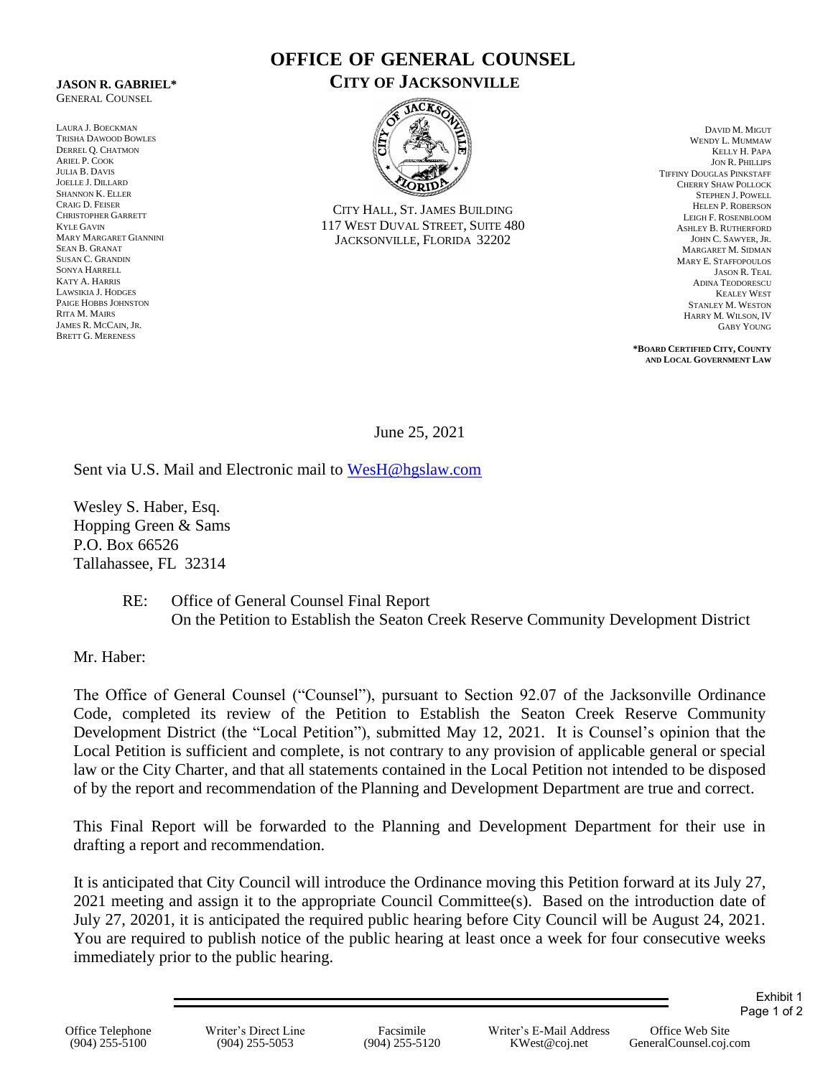## **JASON R. GABRIEL\*** GENERAL COUNSEL

LAURA J. BOECKMAN TRISHA DAWOOD BOWLES DERREL Q. CHATMON ARIEL P. COOK JULIA B. DAVIS JOELLE J. DILLARD SHANNON K. ELLER CRAIG D. FEISER CHRISTOPHER GARRETT KYLE GAVIN MARY MARGARET GIANNINI SEAN B. GRANAT SUSAN C. GRANDIN SONYA HARRELL KATY A. HARRIS LAWSIKIA J. HODGES PAIGE HOBBS JOHNSTON RITA M. MAIRS JAMES R. MCCAIN, JR. BRETT G. MERENESS

## **OFFICE OF GENERAL COUNSEL CITY OF JACKSONVILLE**



CITY HALL, ST. JAMES BUILDING 117 WEST DUVAL STREET, SUITE 480 JACKSONVILLE, FLORIDA 32202

DAVID M. MIGUT WENDY L. MUMMAW KELLY H. PAPA JON R. PHILLIPS TIFFINY DOUGLAS PINKSTAFF CHERRY SHAW POLLOCK STEPHEN J. POWELL HELEN P. ROBERSON LEIGH F. ROSENBLOOM ASHLEY B. RUTHERFORD JOHN C. SAWYER, JR. MARGARET M. SIDMAN MARY E. STAFFOPOULOS JASON R. TEAL ADINA TEODORESCU KEALEY WEST STANLEY M. WESTON HARRY M. WILSON, IV GABY YOUNG

**\*BOARD CERTIFIED CITY, COUNTY AND LOCAL GOVERNMENT LAW**

June 25, 2021

Sent via U.S. Mail and Electronic mail to [WesH@hgslaw.com](mailto:WesH@hgslaw.com)

Wesley S. Haber, Esq. Hopping Green & Sams P.O. Box 66526 Tallahassee, FL 32314

> RE: Office of General Counsel Final Report On the Petition to Establish the Seaton Creek Reserve Community Development District

Mr. Haber:

The Office of General Counsel ("Counsel"), pursuant to Section 92.07 of the Jacksonville Ordinance Code, completed its review of the Petition to Establish the Seaton Creek Reserve Community Development District (the "Local Petition"), submitted May 12, 2021. It is Counsel's opinion that the Local Petition is sufficient and complete, is not contrary to any provision of applicable general or special law or the City Charter, and that all statements contained in the Local Petition not intended to be disposed of by the report and recommendation of the Planning and Development Department are true and correct.

This Final Report will be forwarded to the Planning and Development Department for their use in drafting a report and recommendation.

It is anticipated that City Council will introduce the Ordinance moving this Petition forward at its July 27, 2021 meeting and assign it to the appropriate Council Committee(s). Based on the introduction date of July 27, 20201, it is anticipated the required public hearing before City Council will be August 24, 2021. You are required to publish notice of the public hearing at least once a week for four consecutive weeks immediately prior to the public hearing.

Exhibit 1 Page 1 of 2